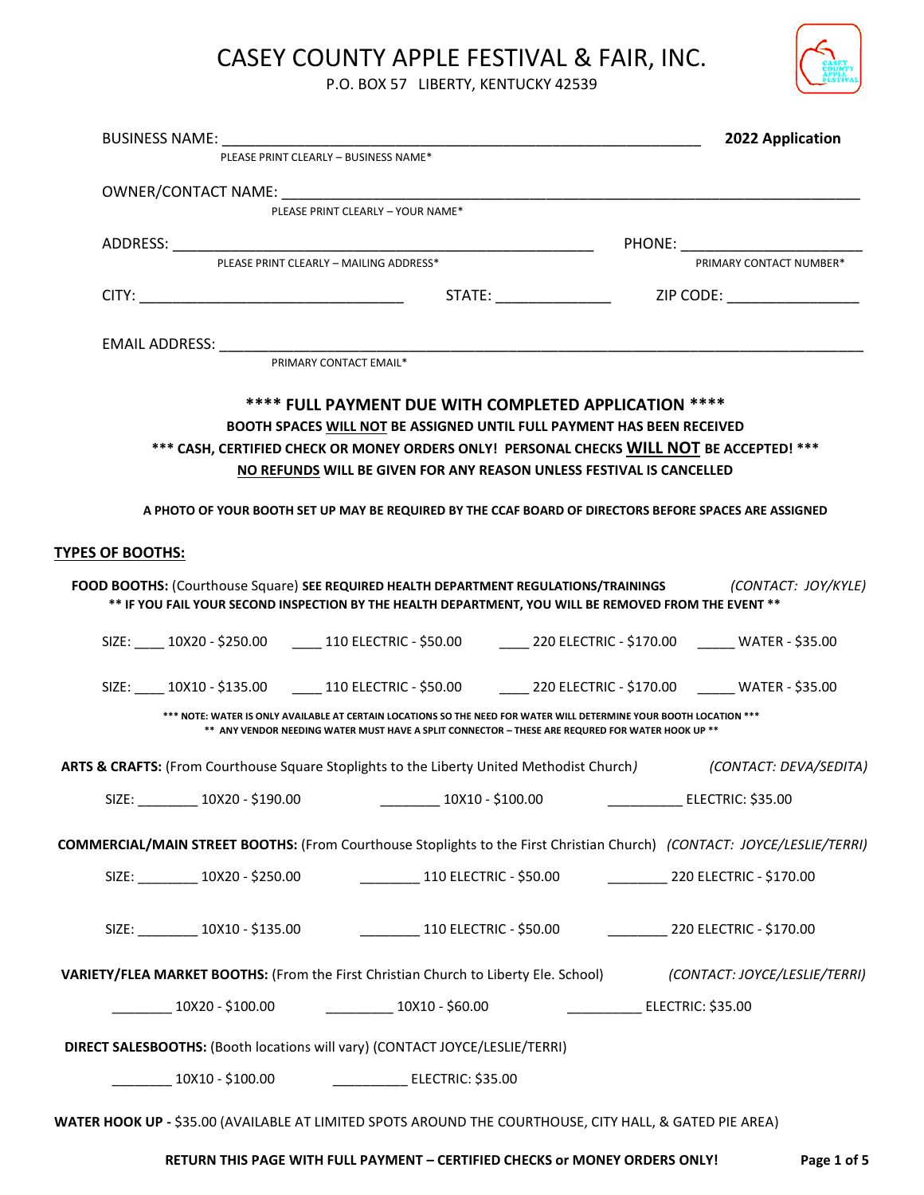

P.O. BOX 57 LIBERTY, KENTUCKY 42539

|                         |                   |                                                                                                                                                                                                                                     | 2022 Application                                                                                                               |  |
|-------------------------|-------------------|-------------------------------------------------------------------------------------------------------------------------------------------------------------------------------------------------------------------------------------|--------------------------------------------------------------------------------------------------------------------------------|--|
|                         |                   | PLEASE PRINT CLEARLY - BUSINESS NAME*                                                                                                                                                                                               |                                                                                                                                |  |
|                         |                   | OWNER/CONTACT NAME: NAME:                                                                                                                                                                                                           |                                                                                                                                |  |
|                         |                   | PLEASE PRINT CLEARLY - YOUR NAME*                                                                                                                                                                                                   |                                                                                                                                |  |
|                         |                   | <b>PHONE:</b> The contract of the contract of the contract of the contract of the contract of the contract of the contract of the contract of the contract of the contract of the contract of the contract of the contract of the c |                                                                                                                                |  |
|                         |                   | PLEASE PRINT CLEARLY - MAILING ADDRESS*                                                                                                                                                                                             | PRIMARY CONTACT NUMBER*                                                                                                        |  |
|                         |                   |                                                                                                                                                                                                                                     |                                                                                                                                |  |
|                         |                   |                                                                                                                                                                                                                                     |                                                                                                                                |  |
|                         |                   | PRIMARY CONTACT EMAIL*                                                                                                                                                                                                              |                                                                                                                                |  |
|                         |                   | **** FULL PAYMENT DUE WITH COMPLETED APPLICATION ****<br>BOOTH SPACES WILL NOT BE ASSIGNED UNTIL FULL PAYMENT HAS BEEN RECEIVED<br>*** CASH, CERTIFIED CHECK OR MONEY ORDERS ONLY! PERSONAL CHECKS WILL NOT BE ACCEPTED! ***        |                                                                                                                                |  |
|                         |                   | NO REFUNDS WILL BE GIVEN FOR ANY REASON UNLESS FESTIVAL IS CANCELLED                                                                                                                                                                | A PHOTO OF YOUR BOOTH SET UP MAY BE REQUIRED BY THE CCAF BOARD OF DIRECTORS BEFORE SPACES ARE ASSIGNED                         |  |
| <b>TYPES OF BOOTHS:</b> |                   |                                                                                                                                                                                                                                     |                                                                                                                                |  |
|                         |                   | ** IF YOU FAIL YOUR SECOND INSPECTION BY THE HEALTH DEPARTMENT, YOU WILL BE REMOVED FROM THE EVENT **                                                                                                                               | FOOD BOOTHS: (Courthouse Square) SEE REQUIRED HEALTH DEPARTMENT REGULATIONS/TRAININGS (CONTACT: JOY/KYLE)                      |  |
|                         |                   |                                                                                                                                                                                                                                     | SIZE: ____ 10X20 - \$250.00 _____ 110 ELECTRIC - \$50.00 ______ 220 ELECTRIC - \$170.00 ______ WATER - \$35.00                 |  |
|                         |                   |                                                                                                                                                                                                                                     | SIZE: ____ 10X10 - \$135.00 _____ 110 ELECTRIC - \$50.00 ______ 220 ELECTRIC - \$170.00 ______ WATER - \$35.00                 |  |
|                         |                   | *** NOTE: WATER IS ONLY AVAILABLE AT CERTAIN LOCATIONS SO THE NEED FOR WATER WILL DETERMINE YOUR BOOTH LOCATION ***<br>** ANY VENDOR NEEDING WATER MUST HAVE A SPLIT CONNECTOR - THESE ARE REQURED FOR WATER HOOK UP **             |                                                                                                                                |  |
|                         |                   |                                                                                                                                                                                                                                     | ARTS & CRAFTS: (From Courthouse Square Stoplights to the Liberty United Methodist Church) (CONTACT: DEVA/SEDITA)               |  |
| SIZE:                   | $10X20 - $190.00$ | 10X10 - \$100.00_                                                                                                                                                                                                                   | ELECTRIC: \$35.00                                                                                                              |  |
|                         |                   |                                                                                                                                                                                                                                     | <b>COMMERCIAL/MAIN STREET BOOTHS:</b> (From Courthouse Stoplights to the First Christian Church) (CONTACT: JOYCE/LESLIE/TERRI) |  |
|                         |                   | SIZE: __________ 10X20 - \$250.00 ___________________________ 110 ELECTRIC - \$50.00 _________________ 220 ELECTRIC - \$170.00                                                                                                      |                                                                                                                                |  |
|                         |                   | SIZE: ___________10X10 - \$135.00 _________________________110 ELECTRIC - \$50.00 ____________________ 220 ELECTRIC - \$170.00                                                                                                      |                                                                                                                                |  |
|                         |                   |                                                                                                                                                                                                                                     | VARIETY/FLEA MARKET BOOTHS: (From the First Christian Church to Liberty Ele. School) (CONTACT: JOYCE/LESLIE/TERRI)             |  |
|                         |                   | _________ 10X20 - \$100.00 ___________ 10X10 - \$60.00                                                                                                                                                                              | ____________________ ELECTRIC: \$35.00                                                                                         |  |
|                         |                   | DIRECT SALESBOOTHS: (Booth locations will vary) (CONTACT JOYCE/LESLIE/TERRI)                                                                                                                                                        |                                                                                                                                |  |
|                         |                   |                                                                                                                                                                                                                                     |                                                                                                                                |  |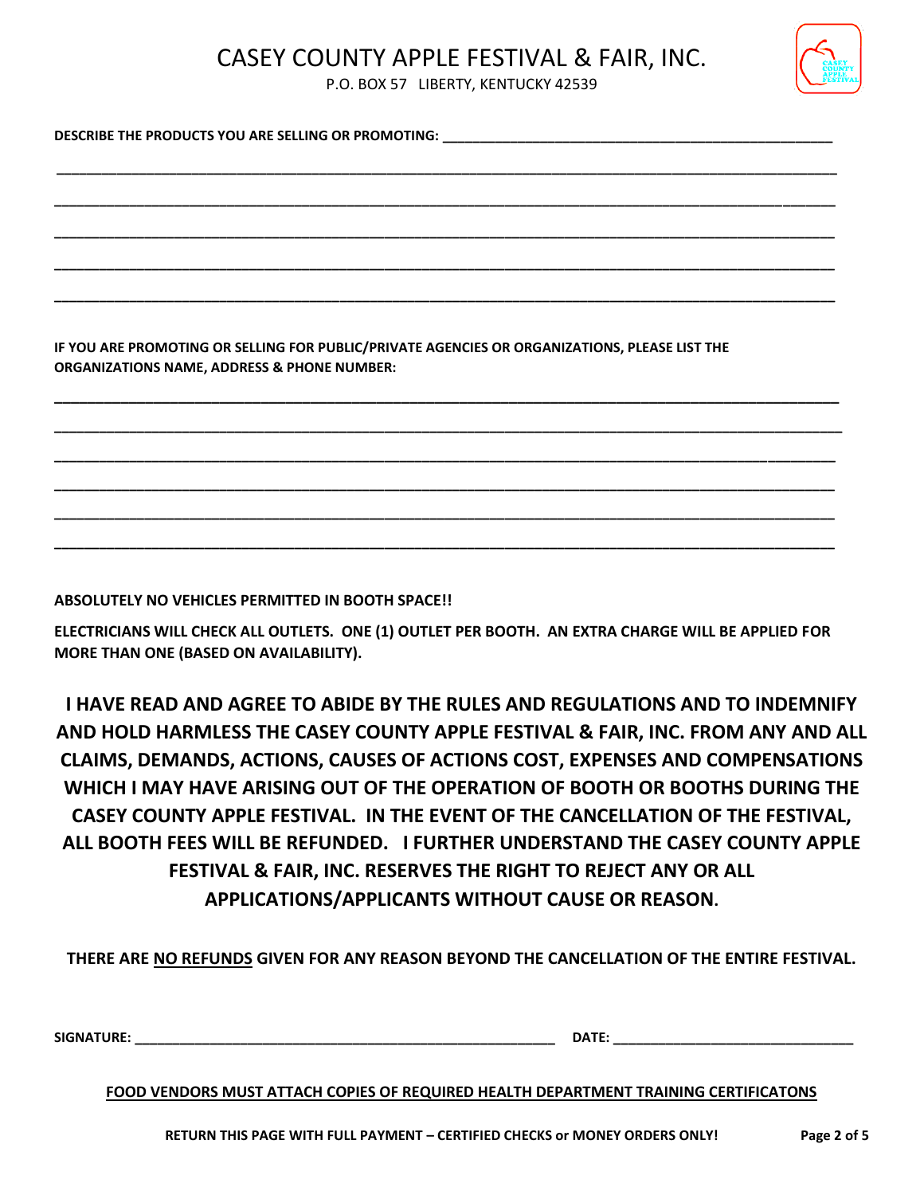

P.O. BOX 57 LIBERTY, KENTUCKY 42539

**\_\_\_\_\_\_\_\_\_\_\_\_\_\_\_\_\_\_\_\_\_\_\_\_\_\_\_\_\_\_\_\_\_\_\_\_\_\_\_\_\_\_\_\_\_\_\_\_\_\_\_\_\_\_\_\_\_\_\_\_\_\_\_\_\_\_\_\_\_\_\_\_\_\_\_\_\_\_\_\_\_\_\_\_\_\_\_\_\_\_\_\_\_\_\_\_\_\_\_\_\_\_\_\_**

**\_\_\_\_\_\_\_\_\_\_\_\_\_\_\_\_\_\_\_\_\_\_\_\_\_\_\_\_\_\_\_\_\_\_\_\_\_\_\_\_\_\_\_\_\_\_\_\_\_\_\_\_\_\_\_\_\_\_\_\_\_\_\_\_\_\_\_\_\_\_\_\_\_\_\_\_\_\_\_\_\_\_\_\_\_\_\_\_\_\_\_\_\_\_\_\_\_\_\_\_\_\_\_\_**

**\_\_\_\_\_\_\_\_\_\_\_\_\_\_\_\_\_\_\_\_\_\_\_\_\_\_\_\_\_\_\_\_\_\_\_\_\_\_\_\_\_\_\_\_\_\_\_\_\_\_\_\_\_\_\_\_\_\_\_\_\_\_\_\_\_\_\_\_\_\_\_\_\_\_\_\_\_\_\_\_\_\_\_\_\_\_\_\_\_\_\_\_\_\_\_\_\_\_\_\_\_\_\_\_**

**\_\_\_\_\_\_\_\_\_\_\_\_\_\_\_\_\_\_\_\_\_\_\_\_\_\_\_\_\_\_\_\_\_\_\_\_\_\_\_\_\_\_\_\_\_\_\_\_\_\_\_\_\_\_\_\_\_\_\_\_\_\_\_\_\_\_\_\_\_\_\_\_\_\_\_\_\_\_\_\_\_\_\_\_\_\_\_\_\_\_\_\_\_\_\_\_\_\_\_\_\_\_\_\_**

**\_\_\_\_\_\_\_\_\_\_\_\_\_\_\_\_\_\_\_\_\_\_\_\_\_\_\_\_\_\_\_\_\_\_\_\_\_\_\_\_\_\_\_\_\_\_\_\_\_\_\_\_\_\_\_\_\_\_\_\_\_\_\_\_\_\_\_\_\_\_\_\_\_\_\_\_\_\_\_\_\_\_\_\_\_\_\_\_\_\_\_\_\_\_\_\_\_\_\_\_\_\_\_\_**

**\_\_\_\_\_\_\_\_\_\_\_\_\_\_\_\_\_\_\_\_\_\_\_\_\_\_\_\_\_\_\_\_\_\_\_\_\_\_\_\_\_\_\_\_\_\_\_\_\_\_\_\_\_\_\_\_\_\_\_\_\_\_\_\_\_\_\_\_\_\_\_\_\_\_\_\_\_\_\_\_\_\_\_\_\_\_\_\_\_\_\_\_\_\_\_**

**\_\_\_\_\_\_\_\_\_\_\_\_\_\_\_\_\_\_\_\_\_\_\_\_\_\_\_\_\_\_\_\_\_\_\_\_\_\_\_\_\_\_\_\_\_\_\_\_\_\_\_\_\_\_\_\_\_\_\_\_\_\_\_\_\_\_\_\_\_\_\_\_\_\_\_\_\_\_\_\_\_\_\_\_\_\_\_\_\_\_\_\_\_\_\_\_\_\_\_\_\_\_\_\_\_ \_\_\_\_\_\_\_\_\_\_\_\_\_\_\_\_\_\_\_\_\_\_\_\_\_\_\_\_\_\_\_\_\_\_\_\_\_\_\_\_\_\_\_\_\_\_\_\_\_\_\_\_\_\_\_\_\_\_\_\_\_\_\_\_\_\_\_\_\_\_\_\_\_\_\_\_\_\_\_\_\_\_\_\_\_\_\_\_\_\_\_\_\_\_\_\_\_\_\_\_\_\_\_\_ \_\_\_\_\_\_\_\_\_\_\_\_\_\_\_\_\_\_\_\_\_\_\_\_\_\_\_\_\_\_\_\_\_\_\_\_\_\_\_\_\_\_\_\_\_\_\_\_\_\_\_\_\_\_\_\_\_\_\_\_\_\_\_\_\_\_\_\_\_\_\_\_\_\_\_\_\_\_\_\_\_\_\_\_\_\_\_\_\_\_\_\_\_\_\_\_\_\_\_\_\_\_\_\_ \_\_\_\_\_\_\_\_\_\_\_\_\_\_\_\_\_\_\_\_\_\_\_\_\_\_\_\_\_\_\_\_\_\_\_\_\_\_\_\_\_\_\_\_\_\_\_\_\_\_\_\_\_\_\_\_\_\_\_\_\_\_\_\_\_\_\_\_\_\_\_\_\_\_\_\_\_\_\_\_\_\_\_\_\_\_\_\_\_\_\_\_\_\_\_\_\_\_\_\_\_\_\_\_ \_\_\_\_\_\_\_\_\_\_\_\_\_\_\_\_\_\_\_\_\_\_\_\_\_\_\_\_\_\_\_\_\_\_\_\_\_\_\_\_\_\_\_\_\_\_\_\_\_\_\_\_\_\_\_\_\_\_\_\_\_\_\_\_\_\_\_\_\_\_\_\_\_\_\_\_\_\_\_\_\_\_\_\_\_\_\_\_\_\_\_\_\_\_\_\_\_\_\_\_\_\_\_\_**

DESCRIBE THE PRODUCTS YOU ARE SELLING OR PROMOTING:

**IF YOU ARE PROMOTING OR SELLING FOR PUBLIC/PRIVATE AGENCIES OR ORGANIZATIONS, PLEASE LIST THE ORGANIZATIONS NAME, ADDRESS & PHONE NUMBER:** 

**ABSOLUTELY NO VEHICLES PERMITTED IN BOOTH SPACE!!** 

**ELECTRICIANS WILL CHECK ALL OUTLETS. ONE (1) OUTLET PER BOOTH. AN EXTRA CHARGE WILL BE APPLIED FOR MORE THAN ONE (BASED ON AVAILABILITY).**

**I HAVE READ AND AGREE TO ABIDE BY THE RULES AND REGULATIONS AND TO INDEMNIFY AND HOLD HARMLESS THE CASEY COUNTY APPLE FESTIVAL & FAIR, INC. FROM ANY AND ALL CLAIMS, DEMANDS, ACTIONS, CAUSES OF ACTIONS COST, EXPENSES AND COMPENSATIONS WHICH I MAY HAVE ARISING OUT OF THE OPERATION OF BOOTH OR BOOTHS DURING THE CASEY COUNTY APPLE FESTIVAL. IN THE EVENT OF THE CANCELLATION OF THE FESTIVAL, ALL BOOTH FEES WILL BE REFUNDED. I FURTHER UNDERSTAND THE CASEY COUNTY APPLE FESTIVAL & FAIR, INC. RESERVES THE RIGHT TO REJECT ANY OR ALL APPLICATIONS/APPLICANTS WITHOUT CAUSE OR REASON.**

**THERE ARE NO REFUNDS GIVEN FOR ANY REASON BEYOND THE CANCELLATION OF THE ENTIRE FESTIVAL.**

**SIGNATURE: \_\_\_\_\_\_\_\_\_\_\_\_\_\_\_\_\_\_\_\_\_\_\_\_\_\_\_\_\_\_\_\_\_\_\_\_\_\_\_\_\_\_\_\_\_\_\_\_\_\_\_\_\_\_\_\_ DATE: \_\_\_\_\_\_\_\_\_\_\_\_\_\_\_\_\_\_\_\_\_\_\_\_\_\_\_\_\_\_\_\_**

**FOOD VENDORS MUST ATTACH COPIES OF REQUIRED HEALTH DEPARTMENT TRAINING CERTIFICATONS**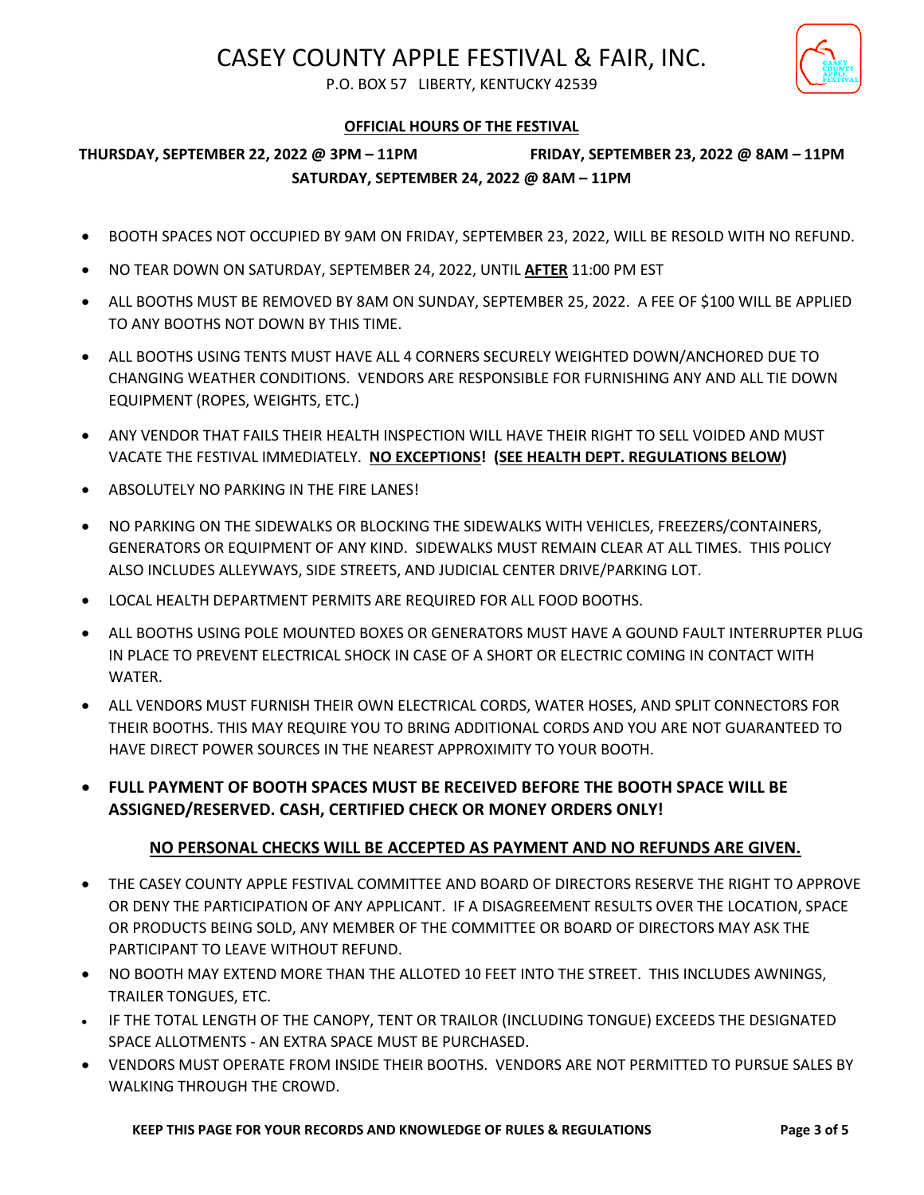

P.O. BOX 57 LIBERTY, KENTUCKY 42539

## **OFFICIAL HOURS OF THE FESTIVAL**

## **THURSDAY, SEPTEMBER 22, 2022 @ 3PM – 11PM FRIDAY, SEPTEMBER 23, 2022 @ 8AM – 11PM SATURDAY, SEPTEMBER 24, 2022 @ 8AM – 11PM**

- BOOTH SPACES NOT OCCUPIED BY 9AM ON FRIDAY, SEPTEMBER 23, 2022, WILL BE RESOLD WITH NO REFUND.
- NO TEAR DOWN ON SATURDAY, SEPTEMBER 24, 2022, UNTIL **AFTER** 11:00 PM EST
- ALL BOOTHS MUST BE REMOVED BY 8AM ON SUNDAY, SEPTEMBER 25, 2022. A FEE OF \$100 WILL BE APPLIED TO ANY BOOTHS NOT DOWN BY THIS TIME.
- ALL BOOTHS USING TENTS MUST HAVE ALL 4 CORNERS SECURELY WEIGHTED DOWN/ANCHORED DUE TO CHANGING WEATHER CONDITIONS. VENDORS ARE RESPONSIBLE FOR FURNISHING ANY AND ALL TIE DOWN EQUIPMENT (ROPES, WEIGHTS, ETC.)
- ANY VENDOR THAT FAILS THEIR HEALTH INSPECTION WILL HAVE THEIR RIGHT TO SELL VOIDED AND MUST VACATE THE FESTIVAL IMMEDIATELY. **NO EXCEPTIONS! (SEE HEALTH DEPT. REGULATIONS BELOW)**
- ABSOLUTELY NO PARKING IN THE FIRE LANES!
- NO PARKING ON THE SIDEWALKS OR BLOCKING THE SIDEWALKS WITH VEHICLES, FREEZERS/CONTAINERS, GENERATORS OR EQUIPMENT OF ANY KIND. SIDEWALKS MUST REMAIN CLEAR AT ALL TIMES. THIS POLICY ALSO INCLUDES ALLEYWAYS, SIDE STREETS, AND JUDICIAL CENTER DRIVE/PARKING LOT.
- LOCAL HEALTH DEPARTMENT PERMITS ARE REQUIRED FOR ALL FOOD BOOTHS.
- ALL BOOTHS USING POLE MOUNTED BOXES OR GENERATORS MUST HAVE A GOUND FAULT INTERRUPTER PLUG IN PLACE TO PREVENT ELECTRICAL SHOCK IN CASE OF A SHORT OR ELECTRIC COMING IN CONTACT WITH WATER.
- ALL VENDORS MUST FURNISH THEIR OWN ELECTRICAL CORDS, WATER HOSES, AND SPLIT CONNECTORS FOR THEIR BOOTHS. THIS MAY REQUIRE YOU TO BRING ADDITIONAL CORDS AND YOU ARE NOT GUARANTEED TO HAVE DIRECT POWER SOURCES IN THE NEAREST APPROXIMITY TO YOUR BOOTH.
- **FULL PAYMENT OF BOOTH SPACES MUST BE RECEIVED BEFORE THE BOOTH SPACE WILL BE ASSIGNED/RESERVED. CASH, CERTIFIED CHECK OR MONEY ORDERS ONLY!**

## **NO PERSONAL CHECKS WILL BE ACCEPTED AS PAYMENT AND NO REFUNDS ARE GIVEN.**

- THE CASEY COUNTY APPLE FESTIVAL COMMITTEE AND BOARD OF DIRECTORS RESERVE THE RIGHT TO APPROVE OR DENY THE PARTICIPATION OF ANY APPLICANT. IF A DISAGREEMENT RESULTS OVER THE LOCATION, SPACE OR PRODUCTS BEING SOLD, ANY MEMBER OF THE COMMITTEE OR BOARD OF DIRECTORS MAY ASK THE PARTICIPANT TO LEAVE WITHOUT REFUND.
- $\bullet$  NO BOOTH MAY EXTEND MORE THAN THE ALLOTED 10 FEET INTO THE STREET. THIS INCLUDES AWNINGS, TRAILER TONGUES, ETC.
- IF THE TOTAL LENGTH OF THE CANOPY, TENT OR TRAILOR (INCLUDING TONGUE) EXCEEDS THE DESIGNATED SPACE ALLOTMENTS - AN EXTRA SPACE MUST BE PURCHASED.
- VENDORS MUST OPERATE FROM INSIDE THEIR BOOTHS. VENDORS ARE NOT PERMITTED TO PURSUE SALES BY WALKING THROUGH THE CROWD.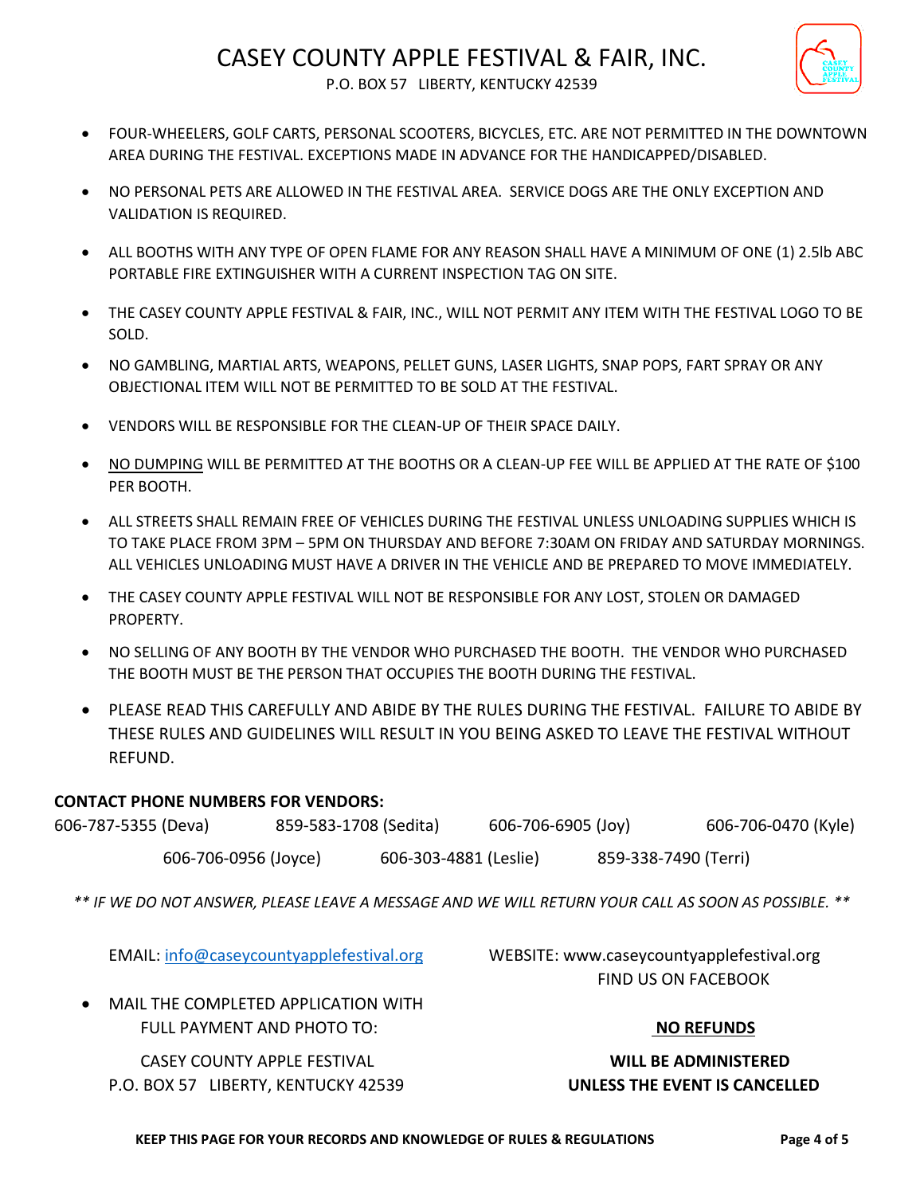

P.O. BOX 57 LIBERTY, KENTUCKY 42539

- FOUR-WHEELERS, GOLF CARTS, PERSONAL SCOOTERS, BICYCLES, ETC. ARE NOT PERMITTED IN THE DOWNTOWN AREA DURING THE FESTIVAL. EXCEPTIONS MADE IN ADVANCE FOR THE HANDICAPPED/DISABLED.
- NO PERSONAL PETS ARE ALLOWED IN THE FESTIVAL AREA. SERVICE DOGS ARE THE ONLY EXCEPTION AND VALIDATION IS REQUIRED.
- ALL BOOTHS WITH ANY TYPE OF OPEN FLAME FOR ANY REASON SHALL HAVE A MINIMUM OF ONE (1) 2.5lb ABC PORTABLE FIRE EXTINGUISHER WITH A CURRENT INSPECTION TAG ON SITE.
- THE CASEY COUNTY APPLE FESTIVAL & FAIR, INC., WILL NOT PERMIT ANY ITEM WITH THE FESTIVAL LOGO TO BE SOLD.
- NO GAMBLING, MARTIAL ARTS, WEAPONS, PELLET GUNS, LASER LIGHTS, SNAP POPS, FART SPRAY OR ANY OBJECTIONAL ITEM WILL NOT BE PERMITTED TO BE SOLD AT THE FESTIVAL.
- VENDORS WILL BE RESPONSIBLE FOR THE CLEAN-UP OF THEIR SPACE DAILY.
- NO DUMPING WILL BE PERMITTED AT THE BOOTHS OR A CLEAN-UP FEE WILL BE APPLIED AT THE RATE OF \$100 PER BOOTH.
- ALL STREETS SHALL REMAIN FREE OF VEHICLES DURING THE FESTIVAL UNLESS UNLOADING SUPPLIES WHICH IS TO TAKE PLACE FROM 3PM – 5PM ON THURSDAY AND BEFORE 7:30AM ON FRIDAY AND SATURDAY MORNINGS. ALL VEHICLES UNLOADING MUST HAVE A DRIVER IN THE VEHICLE AND BE PREPARED TO MOVE IMMEDIATELY.
- THE CASEY COUNTY APPLE FESTIVAL WILL NOT BE RESPONSIBLE FOR ANY LOST, STOLEN OR DAMAGED PROPERTY.
- NO SELLING OF ANY BOOTH BY THE VENDOR WHO PURCHASED THE BOOTH. THE VENDOR WHO PURCHASED THE BOOTH MUST BE THE PERSON THAT OCCUPIES THE BOOTH DURING THE FESTIVAL.
- PLEASE READ THIS CAREFULLY AND ABIDE BY THE RULES DURING THE FESTIVAL. FAILURE TO ABIDE BY THESE RULES AND GUIDELINES WILL RESULT IN YOU BEING ASKED TO LEAVE THE FESTIVAL WITHOUT REFUND.

## **CONTACT PHONE NUMBERS FOR VENDORS:**

| 606-787-5355 (Deva)  | 859-583-1708 (Sedita) |                       | 606-706-6905 (Joy) |                      | 606-706-0470 (Kyle) |
|----------------------|-----------------------|-----------------------|--------------------|----------------------|---------------------|
| 606-706-0956 (Joyce) |                       | 606-303-4881 (Leslie) |                    | 859-338-7490 (Terri) |                     |

*\*\* IF WE DO NOT ANSWER, PLEASE LEAVE A MESSAGE AND WE WILL RETURN YOUR CALL AS SOON AS POSSIBLE. \*\**

EMAIL: [info@caseycountyapplefestival.org](mailto:info@caseycountyapplefestival.org) WEBSITE: www.caseycountyapplefestival.org FIND US ON FACEBOOK

 MAIL THE COMPLETED APPLICATION WITH FULL PAYMENT AND PHOTO TO: **NO REFUNDS**

 CASEY COUNTY APPLE FESTIVAL **WILL BE ADMINISTERED** P.O. BOX 57 LIBERTY, KENTUCKY 42539 **UNLESS THE EVENT IS CANCELLED**